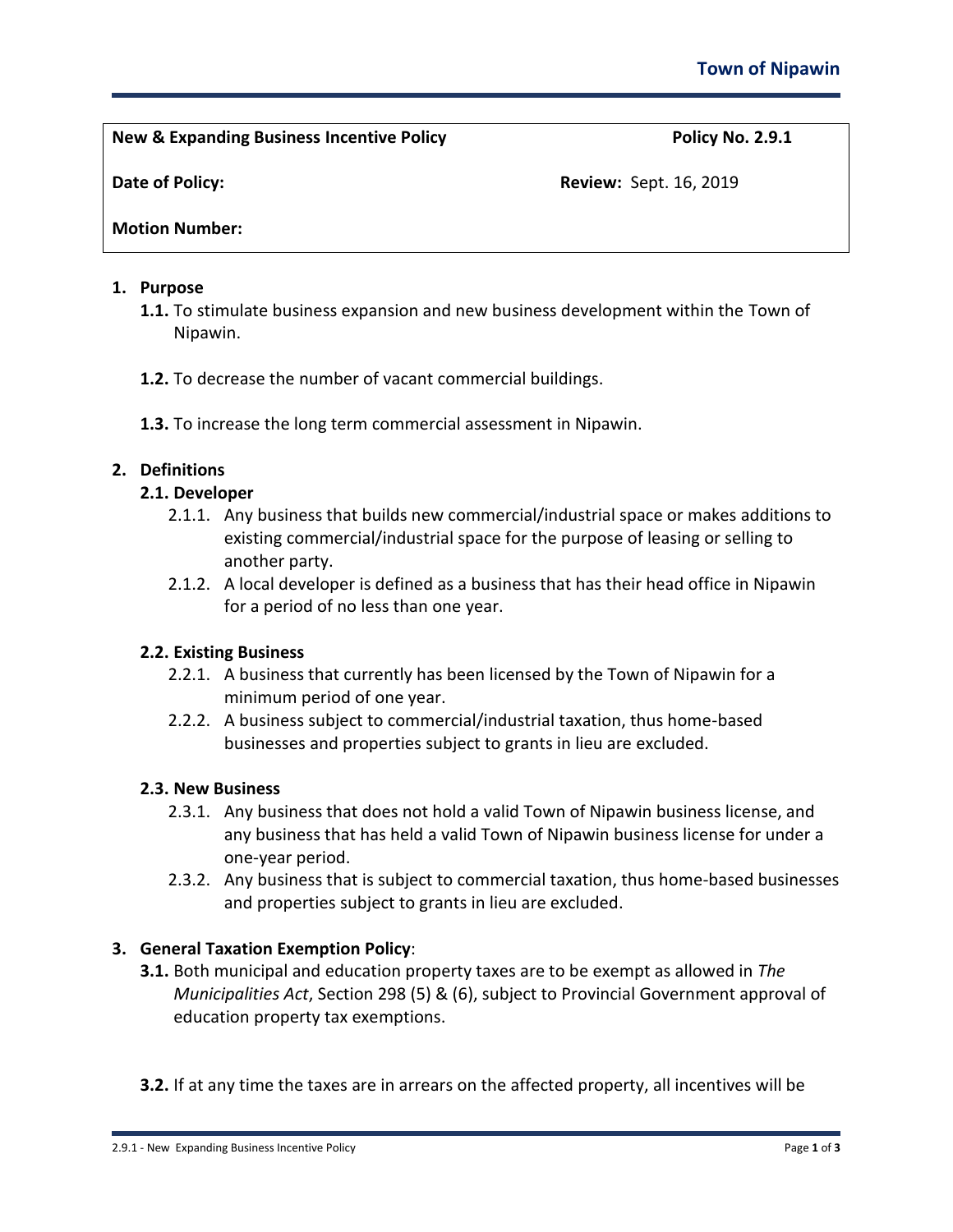**New & Expanding Business Incentive Policy Policy No. 2.9.1**

**Date of Policy: Review: Sept. 16, 2019 Review: Sept. 16, 2019** 

# **Motion Number:**

### **1. Purpose**

- **1.1.** To stimulate business expansion and new business development within the Town of Nipawin.
- **1.2.** To decrease the number of vacant commercial buildings.
- **1.3.** To increase the long term commercial assessment in Nipawin.

# **2. Definitions**

# **2.1. Developer**

- 2.1.1. Any business that builds new commercial/industrial space or makes additions to existing commercial/industrial space for the purpose of leasing or selling to another party.
- 2.1.2. A local developer is defined as a business that has their head office in Nipawin for a period of no less than one year.

## **2.2. Existing Business**

- 2.2.1. A business that currently has been licensed by the Town of Nipawin for a minimum period of one year.
- 2.2.2. A business subject to commercial/industrial taxation, thus home-based businesses and properties subject to grants in lieu are excluded.

## **2.3. New Business**

- 2.3.1. Any business that does not hold a valid Town of Nipawin business license, and any business that has held a valid Town of Nipawin business license for under a one-year period.
- 2.3.2. Any business that is subject to commercial taxation, thus home-based businesses and properties subject to grants in lieu are excluded.

## **3. General Taxation Exemption Policy**:

- **3.1.** Both municipal and education property taxes are to be exempt as allowed in *The Municipalities Act*, Section 298 (5) & (6), subject to Provincial Government approval of education property tax exemptions.
- **3.2.** If at any time the taxes are in arrears on the affected property, all incentives will be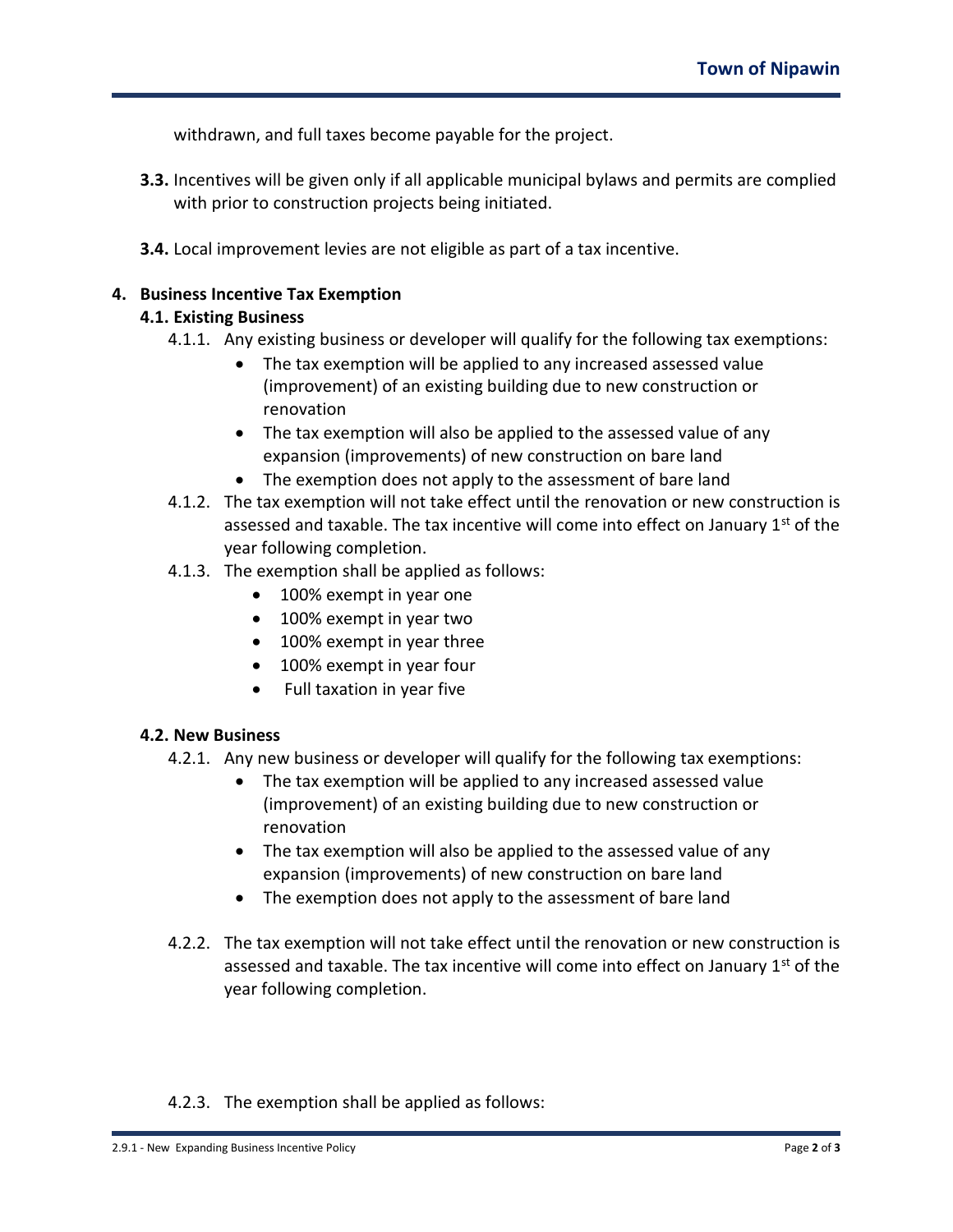withdrawn, and full taxes become payable for the project.

- **3.3.** Incentives will be given only if all applicable municipal bylaws and permits are complied with prior to construction projects being initiated.
- **3.4.** Local improvement levies are not eligible as part of a tax incentive.

### **4. Business Incentive Tax Exemption**

### **4.1. Existing Business**

- 4.1.1. Any existing business or developer will qualify for the following tax exemptions:
	- The tax exemption will be applied to any increased assessed value (improvement) of an existing building due to new construction or renovation
	- The tax exemption will also be applied to the assessed value of any expansion (improvements) of new construction on bare land
	- The exemption does not apply to the assessment of bare land
- 4.1.2. The tax exemption will not take effect until the renovation or new construction is assessed and taxable. The tax incentive will come into effect on January  $1<sup>st</sup>$  of the year following completion.
- 4.1.3. The exemption shall be applied as follows:
	- 100% exempt in year one
	- 100% exempt in year two
	- 100% exempt in year three
	- 100% exempt in year four
	- Full taxation in year five

#### **4.2. New Business**

- 4.2.1. Any new business or developer will qualify for the following tax exemptions:
	- The tax exemption will be applied to any increased assessed value (improvement) of an existing building due to new construction or renovation
	- The tax exemption will also be applied to the assessed value of any expansion (improvements) of new construction on bare land
	- The exemption does not apply to the assessment of bare land
- 4.2.2. The tax exemption will not take effect until the renovation or new construction is assessed and taxable. The tax incentive will come into effect on January  $1<sup>st</sup>$  of the year following completion.

## 4.2.3. The exemption shall be applied as follows: